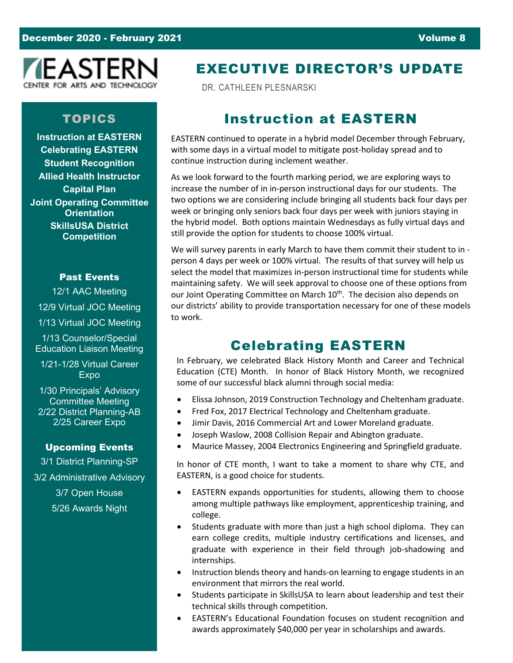

### TOPICS

**Instruction at EASTERN Celebrating EASTERN Student Recognition Allied Health Instructor Capital Plan Joint Operating Committee Orientation SkillsUSA District Competition**

### Past Events

12/1 AAC Meeting 12/9 Virtual JOC Meeting 1/13 Virtual JOC Meeting 1/13 Counselor/Special Education Liaison Meeting

1/21-1/28 Virtual Career Expo

1/30 Principals' Advisory Committee Meeting 2/22 District Planning-AB 2/25 Career Expo

#### Upcoming Events

3/1 District Planning-SP 3/2 Administrative Advisory 3/7 Open House 5/26 Awards Night

## EXECUTIVE DIRECTOR'S UPDATE

DR. CATHLEEN PLESNARSKI

## Instruction at EASTERN

EASTERN continued to operate in a hybrid model December through February, with some days in a virtual model to mitigate post-holiday spread and to continue instruction during inclement weather.

As we look forward to the fourth marking period, we are exploring ways to increase the number of in in-person instructional days for our students. The two options we are considering include bringing all students back four days per week or bringing only seniors back four days per week with juniors staying in the hybrid model. Both options maintain Wednesdays as fully virtual days and still provide the option for students to choose 100% virtual.

We will survey parents in early March to have them commit their student to in person 4 days per week or 100% virtual. The results of that survey will help us select the model that maximizes in-person instructional time for students while maintaining safety. We will seek approval to choose one of these options from our Joint Operating Committee on March 10<sup>th</sup>. The decision also depends on our districts' ability to provide transportation necessary for one of these models to work.

## Celebrating EASTERN

In February, we celebrated Black History Month and Career and Technical Education (CTE) Month. In honor of Black History Month, we recognized some of our successful black alumni through social media:

- Elissa Johnson, 2019 Construction Technology and Cheltenham graduate.
- Fred Fox, 2017 Electrical Technology and Cheltenham graduate.
- Jimir Davis, 2016 Commercial Art and Lower Moreland graduate.
- Joseph Waslow, 2008 Collision Repair and Abington graduate.
- Maurice Massey, 2004 Electronics Engineering and Springfield graduate.

In honor of CTE month, I want to take a moment to share why CTE, and EASTERN, is a good choice for students.

- EASTERN expands opportunities for students, allowing them to choose among multiple pathways like employment, apprenticeship training, and college.
- Students graduate with more than just a high school diploma. They can earn college credits, multiple industry certifications and licenses, and graduate with experience in their field through job-shadowing and internships.
- Instruction blends theory and hands-on learning to engage students in an environment that mirrors the real world.
- Students participate in SkillsUSA to learn about leadership and test their technical skills through competition.
- EASTERN's Educational Foundation focuses on student recognition and awards approximately \$40,000 per year in scholarships and awards.